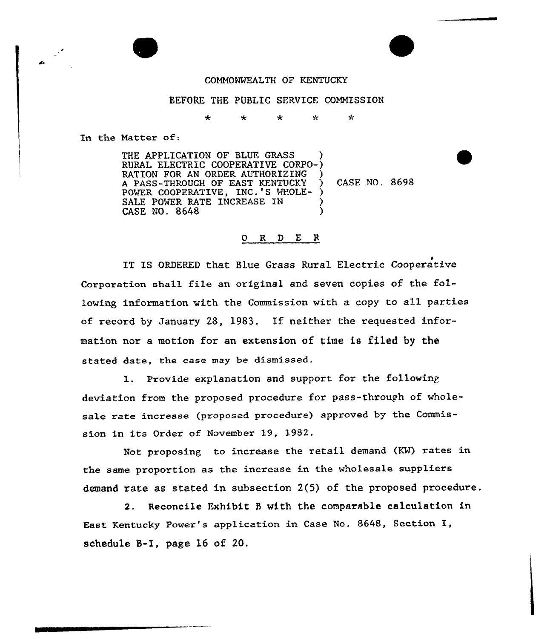## COMMONWEALTH OF KENTUCKY

## BEFORE THE PUBLIC SERVICE COMMISSION

 $\star$   $\star$   $\star$   $\star$  $\star$ 

In the Natter of:

THE APPLICATION OF BLUE GRASS RURAL ELECTRIC COOPERATIVE CORPO-) RATION FOR AN ORDER AUTHORIZING A PASS-THROUGH OF EAST KENTUCKY POWER COOPERATIVE, INC.'S WHOLE-SALE POWER RATE INCREASE IN CASE NO. 8648

CASE NO. 8698

## 0 R <sup>D</sup> E R

IT IS ORDERED that Blue Grass Rural Electric Cooperative Corporation shall file an original and seven copies of the following information with the Commission with a copy to all parties of record by January 28, 1983. If neither the requested information nor a motion for an extension of time is filed by the stated date, the case may be dismissed.

l. Provide explanation and support for the following deviation from the proposed procedure for pass-through of wholesale rate increase (proposed procedure) approved by the Commission in its Order of November 19, 1982.

Not proposing to increase the retail demand (KM) rates in the same proportion as the incxease in the who1esale suppliexs demand rate as stated in subsection 2(5) of the proposed pxocedure.

2. Reconcile Exhibit <sup>B</sup> with the comparable calculation in East Kentucky Powex's application in Case No. 8648, Section I, schedule S-I, page 16 of 20.